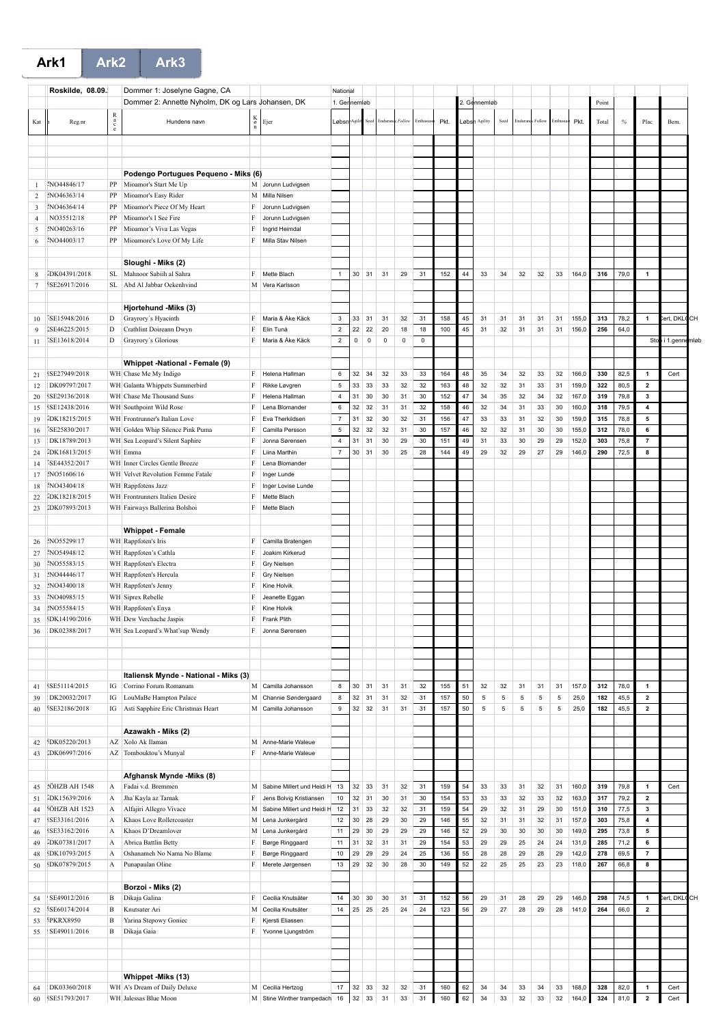**Ark1 Ark2 Ark3**

|                | Roskilde, 08.09.     |           |                                                   |                    |                              |                           | National    |              |             |             |             |      |    |               |      |          |        |         |       |       |      |                         |               |    |
|----------------|----------------------|-----------|---------------------------------------------------|--------------------|------------------------------|---------------------------|-------------|--------------|-------------|-------------|-------------|------|----|---------------|------|----------|--------|---------|-------|-------|------|-------------------------|---------------|----|
|                |                      |           | Dommer 1: Joselyne Gagne, CA                      |                    |                              |                           |             |              |             |             |             |      |    |               |      |          |        |         |       |       |      |                         |               |    |
|                |                      |           | Dommer 2: Annette Nyholm, DK og Lars Johansen, DK |                    |                              | 1. Gennemløb              |             |              |             |             |             |      |    | 2. Gennemløb  |      |          |        |         |       | Point |      |                         |               |    |
| Kat            | Reg.nr               | $R$ a c e | Hundens navn                                      | $_{\rm g}^{\rm K}$ | Ejer                         | Løbsn                     |             |              | Endurar     | Folloy      | Enthus      | Pkt. |    | Løbsh Agility | Seed | Endurano | Follow | Enthusi | Pkt.  | Total | $\%$ | Plac                    | Bem.          |    |
|                |                      |           |                                                   |                    |                              |                           |             |              |             |             |             |      |    |               |      |          |        |         |       |       |      |                         |               |    |
|                |                      |           |                                                   |                    |                              |                           |             |              |             |             |             |      |    |               |      |          |        |         |       |       |      |                         |               |    |
|                |                      |           |                                                   |                    |                              |                           |             |              |             |             |             |      |    |               |      |          |        |         |       |       |      |                         |               |    |
|                |                      |           |                                                   |                    |                              |                           |             |              |             |             |             |      |    |               |      |          |        |         |       |       |      |                         |               |    |
|                |                      |           | Podengo Portugues Pequeno - Miks (6)              |                    |                              |                           |             |              |             |             |             |      |    |               |      |          |        |         |       |       |      |                         |               |    |
| 1              | NO44846/17           | PP        | Mioamor's Start Me Up                             |                    | M Jorunn Ludvigsen           |                           |             |              |             |             |             |      |    |               |      |          |        |         |       |       |      |                         |               |    |
| $\overline{2}$ | NO46363/14           | PP        | Mioamor's Easy Rider                              |                    | M Milla Nilsen               |                           |             |              |             |             |             |      |    |               |      |          |        |         |       |       |      |                         |               |    |
| 3              | NO46364/14           | PP        | Mioamor's Piece Of My Heart                       | F                  | Jorunn Ludvigsen             |                           |             |              |             |             |             |      |    |               |      |          |        |         |       |       |      |                         |               |    |
| $\overline{4}$ | NO35512/18           | PP        | Mioamor's I See Fire                              | F                  | Jorunn Ludvigsen             |                           |             |              |             |             |             |      |    |               |      |          |        |         |       |       |      |                         |               |    |
| 5              | NO40263/16           | PP        | Mioamor's Viva Las Vegas                          | F                  | Ingrid Heimdal               |                           |             |              |             |             |             |      |    |               |      |          |        |         |       |       |      |                         |               |    |
| 6              | ENO44003/17          | PP        | Mioamore's Love Of My Life                        | F                  | Milla Stav Nilsen            |                           |             |              |             |             |             |      |    |               |      |          |        |         |       |       |      |                         |               |    |
|                |                      |           |                                                   |                    |                              |                           |             |              |             |             |             |      |    |               |      |          |        |         |       |       |      |                         |               |    |
|                |                      |           | Sloughi - Miks (2)                                |                    |                              |                           |             |              |             |             |             |      |    |               |      |          |        |         |       |       |      |                         |               |    |
| 8              | IDK04391/2018        | SL.       | Mahnoor Sabiih al Sahra                           | F                  | Mette Blach                  | $\mathbf{1}$              | 30          | 31           | 31          | 29          | 31          | 152  | 44 | 33            | 34   | 32       | 32     | 33      | 164,0 | 316   | 79,0 | $\mathbf{1}$            |               |    |
| 7              | SE26917/2016         | SL.       | Abd Al Jabbar Oekenhvind                          |                    | M Vera Karlsson              |                           |             |              |             |             |             |      |    |               |      |          |        |         |       |       |      |                         |               |    |
|                |                      |           |                                                   |                    |                              |                           |             |              |             |             |             |      |    |               |      |          |        |         |       |       |      |                         |               |    |
|                |                      |           | Hjortehund -Miks (3)                              |                    |                              |                           |             |              |             |             |             |      |    |               |      |          |        |         |       |       |      |                         |               |    |
| 10             | SE15948/2016         | D         | Grayrory's Hyacinth                               | F                  | Maria & Åke Käck             | $\ensuremath{\mathsf{3}}$ | 33          | 31           | 31          | 32          | 31          | 158  | 45 | 31            | 31   | 31       | 31     | 31      | 155,0 | 313   | 78,2 | $\overline{1}$          | ert, DKL      | CН |
| 9              | SE46225/2015         | D         | Crathlint Doireann Dwyn                           | F                  | Elin Tunå                    | $\overline{2}$            | 22          | 22           | 20          | 18          | 18          | 100  | 45 | 31            | 32   | 31       | 31     | 31      | 156,0 | 256   | 64,0 |                         |               |    |
| 11             | [SE13618/2014]       | D         | Grayrory's Glorious                               | F                  | Maria & Åke Käck             | $\overline{2}$            | $\mathsf 0$ | $\mathsf 0$  | $\mathsf 0$ | $\mathsf 0$ | $\mathsf 0$ |      |    |               |      |          |        |         |       |       |      | Sto                     | i 1.gennemløb |    |
|                |                      |           |                                                   |                    |                              |                           |             |              |             |             |             |      |    |               |      |          |        |         |       |       |      |                         |               |    |
|                |                      |           | Whippet - National - Female (9)                   |                    |                              |                           |             |              |             |             |             |      |    |               |      |          |        |         |       |       |      |                         |               |    |
| 21             | SE27949/2018         |           | WH Chase Me My Indigo                             | F                  | Helena Hallman               | $\,6\,$                   | $32\,$      | 34           | 32          | 33          | 33          | 164  | 48 | 35            | 34   | 32       | 33     | 32      | 166,0 | 330   | 82,5 | $\mathbf{1}$            | Cert          |    |
| 12             | DK09797/2017         |           | WH Galanta Whippets Summerbird                    | F                  | Rikke Løvgren                | $\,$ 5 $\,$               | 33          | 33           | 33          | 32          | 32          | 163  | 48 | 32            | 32   | 31       | 33     | 31      | 159,0 | 322   | 80,5 | $\overline{\mathbf{2}}$ |               |    |
| 20             | SE29136/2018         |           | WH Chase Me Thousand Suns                         | F                  | Helena Hallman               | $\bf{4}$                  | 31          | 30           | 30          | 31          | 30          | 152  | 47 | 34            | 35   | 32       | 34     | 32      | 167,0 | 319   | 79,8 | 3                       |               |    |
| 15             | SE12438/2016         |           | WH Southpoint Wild Rose                           | F                  | Lena Blomander               | $\,6\,$                   | 32          | 32           | 31          | 31          | 32          | 158  | 46 | 32            | 34   | 31       | 33     | 30      | 160,0 | 318   | 79,5 | $\pmb{4}$               |               |    |
| 19             | IDK18215/2015        |           | WH Frontrunner's Italian Love                     | F                  | Eva Therkildsen              | $\overline{7}$            | 31          | 32           | 30          | 32          | 31          | 156  | 47 | 33            | 33   | 31       | 32     | 30      | 159,0 | 315   | 78,8 | 5                       |               |    |
| 16             | SE25830/2017         |           | WH Golden Whip Silence Pink Puma                  | F                  | Camilla Persson              | $\,$ 5 $\,$               | 32          | 32           | 32          | 31          | 30          | 157  | 46 | 32            | 32   | 31       | 30     | 30      | 155,0 | 312   | 78,0 | 6                       |               |    |
| 13             | DK18789/2013         |           | WH Sea Leopard's Silent Saphire                   | F                  | Jonna Sørensen               | $\overline{4}$            | 31          | 31           | 30          | 29          | 30          | 151  | 49 | 31            | 33   | 30       | 29     | 29      | 152,0 | 303   | 75,8 | $\overline{7}$          |               |    |
| 24             | IDK16813/2015        |           | WH Emma                                           | F                  | Liina Marthin                | $\overline{7}$            | 30          | 31           | 30          | 25          | 28          | 144  | 49 | 29            | 32   | 29       | 27     | 29      | 146,0 | 290   | 72,5 | 8                       |               |    |
| 14             | ISE44352/2017        |           | WH Inner Circles Gentle Breeze                    | F                  | Lena Blomander               |                           |             |              |             |             |             |      |    |               |      |          |        |         |       |       |      |                         |               |    |
| 17             | NO51606/16           |           | WH Velvet Revolution Femme Fatale                 | F                  | Inger Lunde                  |                           |             |              |             |             |             |      |    |               |      |          |        |         |       |       |      |                         |               |    |
| 18             | NO43404/18           |           | WH Rappfotens Jazz                                | F                  | Inger Lovise Lunde           |                           |             |              |             |             |             |      |    |               |      |          |        |         |       |       |      |                         |               |    |
| 22             | IDK18218/2015        |           | WH Frontrunners Italien Desire                    | F                  | Mette Blach                  |                           |             |              |             |             |             |      |    |               |      |          |        |         |       |       |      |                         |               |    |
| 23             | IDK07893/2013        |           | WH Fairways Ballerina Bolshoi                     | $\rm F$            | Mette Blach                  |                           |             |              |             |             |             |      |    |               |      |          |        |         |       |       |      |                         |               |    |
|                |                      |           |                                                   |                    |                              |                           |             |              |             |             |             |      |    |               |      |          |        |         |       |       |      |                         |               |    |
|                |                      |           | <b>Whippet - Female</b>                           |                    |                              |                           |             |              |             |             |             |      |    |               |      |          |        |         |       |       |      |                         |               |    |
| 26             | NO55299/17           |           | WH Rappfoten's Iris                               | F                  | Camilla Bratengen            |                           |             |              |             |             |             |      |    |               |      |          |        |         |       |       |      |                         |               |    |
| 27             | NO54948/12           |           | WH Rappfoten's Cathla                             | F                  | Joakim Kirkerud              |                           |             |              |             |             |             |      |    |               |      |          |        |         |       |       |      |                         |               |    |
| 30             | INO55583/15          |           | WH Rappfoten's Electra                            | F                  | <b>Gry Nielsen</b>           |                           |             |              |             |             |             |      |    |               |      |          |        |         |       |       |      |                         |               |    |
| 31             | NO44446/17           |           | WH Rappfoten's Hercula                            | F                  | <b>Gry Nielsen</b>           |                           |             |              |             |             |             |      |    |               |      |          |        |         |       |       |      |                         |               |    |
| 32             | NO43400/18           |           | WH Rappfoten's Jenny                              | F                  | Kine Holvik                  |                           |             |              |             |             |             |      |    |               |      |          |        |         |       |       |      |                         |               |    |
| 33             | :NO40985/15          |           | WH Siprex Rebelle                                 | F                  | Jeanette Eggan               |                           |             |              |             |             |             |      |    |               |      |          |        |         |       |       |      |                         |               |    |
| 34             | INO55584/15          |           | WH Rappfoten's Enya                               | F                  | Kine Holvik                  |                           |             |              |             |             |             |      |    |               |      |          |        |         |       |       |      |                         |               |    |
| 35             | DK14190/2016         |           | WH Dew Verchache Jaspis                           | F                  | Frank Plith                  |                           |             |              |             |             |             |      |    |               |      |          |        |         |       |       |      |                         |               |    |
| 36             | DK02388/2017         |           | WH Sea Leopard's What'sup Wendy                   | F                  | Jonna Sørensen               |                           |             |              |             |             |             |      |    |               |      |          |        |         |       |       |      |                         |               |    |
|                |                      |           |                                                   |                    |                              |                           |             |              |             |             |             |      |    |               |      |          |        |         |       |       |      |                         |               |    |
|                |                      |           |                                                   |                    |                              |                           |             |              |             |             |             |      |    |               |      |          |        |         |       |       |      |                         |               |    |
|                |                      |           |                                                   |                    |                              |                           |             |              |             |             |             |      |    |               |      |          |        |         |       |       |      |                         |               |    |
|                |                      |           | Italiensk Mynde - National - Miks (3)             |                    |                              |                           |             |              |             |             |             |      |    |               |      |          |        |         |       |       |      |                         |               |    |
| 41             | SE51114/2015         | IG        | Corrino Forum Romanum                             |                    | M Camilla Johansson          | 8                         | 30          | 31           | 31          | 31          | 32          | 155  | 51 | 32            | 32   | 31       | 31     | 31      | 157,0 | 312   | 78,0 | $\mathbf{1}$            |               |    |
| 39             | DK20032/2017         | IG        | LouMaBe Hampton Palace                            |                    | M Channie Søndergaard        | 8                         | 32          | 31           | 31          | 32          | 31          | 157  | 50 | 5             | 5    | 5        | 5      | $\,$ 5  | 25,0  | 182   | 45,5 | $\overline{\mathbf{2}}$ |               |    |
| 40             | SE32186/2018         | IG        | Asti Sapphire Eric Christmas Heart                |                    | M Camilla Johansson          | $\mathsf g$               | 32          | 32           | 31          | 31          | 31          | 157  | 50 | 5             | 5    | 5        | 5      | 5       | 25,0  | 182   | 45,5 | $\mathbf{2}$            |               |    |
|                |                      |           |                                                   |                    |                              |                           |             |              |             |             |             |      |    |               |      |          |        |         |       |       |      |                         |               |    |
|                |                      |           | Azawakh - Miks (2)                                |                    |                              |                           |             |              |             |             |             |      |    |               |      |          |        |         |       |       |      |                         |               |    |
| 42             | SDK05220/2013        | AZ        | Xolo Ak Ilaman                                    |                    | M Anne-Marie Waleue          |                           |             |              |             |             |             |      |    |               |      |          |        |         |       |       |      |                         |               |    |
| 43             | DK06997/2016         |           | AZ Tombouktou's Munyal                            |                    | F Anne-Marie Waleue          |                           |             |              |             |             |             |      |    |               |      |          |        |         |       |       |      |                         |               |    |
|                |                      |           |                                                   |                    |                              |                           |             |              |             |             |             |      |    |               |      |          |        |         |       |       |      |                         |               |    |
|                |                      |           | Afghansk Mynde -Miks (8)                          |                    |                              |                           |             |              |             |             |             |      |    |               |      |          |        |         |       |       |      |                         |               |    |
| 45             | :ÖHZB AH 1548        | A         | Fadai v.d. Bremmen                                |                    | M Sabine Millert und Heidi H | 13                        | 32          | 33           | 31          | 32          | 31          | 159  | 54 | 33            | 33   | 31       | 32     | 31      | 160,0 | 319   | 79,8 | $\mathbf{1}$            | Cert          |    |
| 51             | IDK15639/2016        | A         | Jha'Kayla az Tarnak                               | F                  | Jens Bolvig Kristiansen      | 10                        | 32          | 31           | 30          | 31          | 30          | 154  | 53 | 33            | 33   | 32       | 33     | 32      | 163,0 | 317   | 79,2 | $\overline{\mathbf{2}}$ |               |    |
| 44             | <b>SÖHZB AH 1523</b> | A         | Alfajiri Allegro Vivace                           |                    | M Sabine Millert und Heidi H | 12                        | 31          | 33           | 32          | 32          | 31          | 159  | 54 | 29            | 32   | 31       | 29     | 30      | 151,0 | 310   | 77,5 | 3                       |               |    |
| 47             | SE33161/2016         | A         | Khaos Love Rollercoaster                          |                    | M Lena Junkergård            | 12                        | 30          | 28           | 29          | 30          | 29          | 146  | 55 | 32            | 31   | 31       | 32     | 31      | 157,0 | 303   | 75,8 | $\clubsuit$             |               |    |
| 46             | SE33162/2016         | A         | Khaos D'Dreamlover                                |                    | M Lena Junkergård            | 11                        | 29          | 30           | 29          | 29          | 29          | 146  | 52 | 29            | 30   | 30       | 30     | 30      | 149,0 | 295   | 73,8 | 5                       |               |    |
| 49             | IDK07381/2017        | А         | Abrica Battlin Betty                              | F                  | Børge Ringgaard              | 11                        | 31          | 32           | 31          | 31          | 29          | 154  | 53 | 29            | 29   | 25       | 24     | 24      | 131,0 | 285   | 71,2 | 6                       |               |    |
| 48             | SDK10793/2015        | A         | Oshanameh No Nama No Blame                        | F                  | Børge Ringgaard              | 10                        | 29          | 29           | 29          | 24          | 25          | 136  | 55 | 28            | 28   | 29       | 28     | 29      | 142,0 | 278   | 69,5 | $\overline{7}$          |               |    |
| 50             | EDK07879/2015        | A         | Punapaulan Oline                                  | F                  | Merete Jørgensen             | 13                        | 29          | 32           | 30          | 28          | 30          | 149  | 52 | 22            | 25   | 25       | 23     | 23      | 118,0 | 267   | 66,8 | 8                       |               |    |
|                |                      |           |                                                   |                    |                              |                           |             |              |             |             |             |      |    |               |      |          |        |         |       |       |      |                         |               |    |
|                |                      |           | Borzoi - Miks (2)                                 |                    |                              |                           |             |              |             |             |             |      |    |               |      |          |        |         |       |       |      |                         |               |    |
| 54             | SE49012/2016         | B         | Dikaja Galina                                     | F                  | Cecilia Knutsäter            | 14                        | 30          | 30           | 30          | 31          | 31          | 152  | 56 | 29            | 31   | 28       | 29     | 29      | 146,0 | 298   | 74,5 | $\mathbf{1}$            | ert, DKL      | CН |
| 52             | SE60174/2014         | B         | Knutsater Ari                                     | М                  | Cecilia Knutsäter            | 14                        | 25          | 25           | 25          | 24          | 24          | 123  | 56 | 29            | 27   | 28       | 29     | 28      | 141,0 | 264   | 66,0 | $\overline{\mathbf{2}}$ |               |    |
| 53             | <b>PKRX8950</b>      | B         | Yarina Stepowy Goniec                             | F                  | Kjersti Eliassen             |                           |             |              |             |             |             |      |    |               |      |          |        |         |       |       |      |                         |               |    |
| 55             | SE49011/2016         | B         | Dikaja Gaia                                       | F                  | Yvonne Ljungström            |                           |             |              |             |             |             |      |    |               |      |          |        |         |       |       |      |                         |               |    |
|                |                      |           |                                                   |                    |                              |                           |             |              |             |             |             |      |    |               |      |          |        |         |       |       |      |                         |               |    |
|                |                      |           |                                                   |                    |                              |                           |             |              |             |             |             |      |    |               |      |          |        |         |       |       |      |                         |               |    |
|                |                      |           |                                                   |                    |                              |                           |             |              |             |             |             |      |    |               |      |          |        |         |       |       |      |                         |               |    |
|                |                      |           | Whippet - Miks (13)                               |                    |                              |                           |             |              |             |             |             |      |    |               |      |          |        |         |       |       |      |                         |               |    |
| 64             | DK03360/2018         |           | WH A's Dream of Daily Deluxe                      |                    | M Cecilia Hertzog            | 17                        | 32          | 33           | 32          | 32          | 31          | 160  | 62 | 34            | 34   | 33       | 34     | 33      | 168,0 | 328   | 82,0 | $\mathbf{1}$            | Cert          |    |
|                | 60 SE51793/2017      |           | WH Jalessas Blue Moon                             |                    | M Stine Winther trampedach   | 16                        |             | $32 \mid 33$ | 31          | 33          | 31          | 160  | 62 | 34            | 33   | 32       | $33\,$ | 32      | 164,0 | 324   | 81,0 | $\overline{\mathbf{2}}$ | Cert          |    |